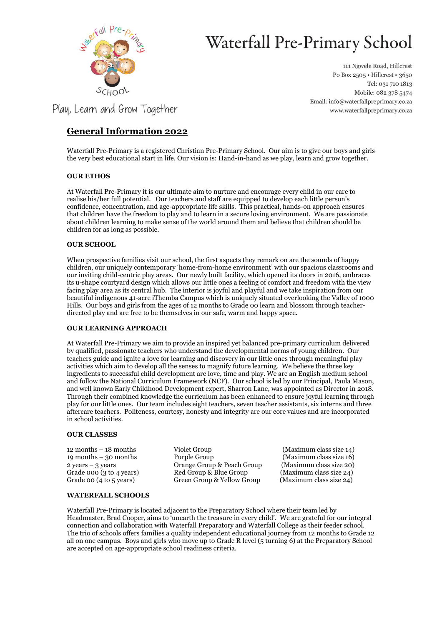

# Waterfall Pre-Primary School

111 Ngwele Road, Hillcrest Po Box 2505 · Hillcrest · 3650 Tel: 031 710 1813 Mobile: 082 378 5474 Email: info@waterfallpreprimary.co.za www.waterfallpreprimary.co.za

Play, Learn and Grow Together

## **General Information 2022**

Waterfall Pre-Primary is a registered Christian Pre-Primary School. Our aim is to give our boys and girls the very best educational start in life. Our vision is: Hand-in-hand as we play, learn and grow together.

## **OUR ETHOS**

At Waterfall Pre-Primary it is our ultimate aim to nurture and encourage every child in our care to realise his/her full potential. Our teachers and staff are equipped to develop each little person's confidence, concentration, and age-appropriate life skills. This practical, hands-on approach ensures that children have the freedom to play and to learn in a secure loving environment. We are passionate about children learning to make sense of the world around them and believe that children should be children for as long as possible.

## **OUR SCHOOL**

When prospective families visit our school, the first aspects they remark on are the sounds of happy children, our uniquely contemporary 'home-from-home environment' with our spacious classrooms and our inviting child-centric play areas. Our newly built facility, which opened its doors in 2016, embraces its u-shape courtyard design which allows our little ones a feeling of comfort and freedom with the view facing play area as its central hub. The interior is joyful and playful and we take inspiration from our beautiful indigenous 41-acre iThemba Campus which is uniquely situated overlooking the Valley of 1000 Hills. Our boys and girls from the ages of 12 months to Grade 00 learn and blossom through teacherdirected play and are free to be themselves in our safe, warm and happy space.

## **OUR LEARNING APPROACH**

At Waterfall Pre-Primary we aim to provide an inspired yet balanced pre-primary curriculum delivered by qualified, passionate teachers who understand the developmental norms of young children. Our teachers guide and ignite a love for learning and discovery in our little ones through meaningful play activities which aim to develop all the senses to magnify future learning. We believe the three key ingredients to successful child development are love, time and play. We are an English medium school and follow the National Curriculum Framework (NCF). Our school is led by our Principal, Paula Mason, and well known Early Childhood Development expert, Sharron Lane, was appointed as Director in 2018. Through their combined knowledge the curriculum has been enhanced to ensure joyful learning through play for our little ones. Our team includes eight teachers, seven teacher assistants, six interns and three aftercare teachers. Politeness, courtesy, honesty and integrity are our core values and are incorporated in school activities.

### **OUR CLASSES**

12 months – 18 months Violet Group (Maximum class size 14) 19 months – 30 months Purple Group (Maximum class size 16) 2 years – 3 years Orange Group & Peach Group (Maximum class size 20) Grade 000 (3 to 4 years) Red Group & Blue Group (Maximum class size 24) Grade 00 (4 to 5 years) Green Group & Yellow Group (Maximum class size 24)

## **WATERFALL SCHOOLS**

Waterfall Pre-Primary is located adjacent to the Preparatory School where their team led by Headmaster, Brad Cooper, aims to 'unearth the treasure in every child'. We are grateful for our integral connection and collaboration with Waterfall Preparatory and Waterfall College as their feeder school. The trio of schools offers families a quality independent educational journey from 12 months to Grade 12 all on one campus. Boys and girls who move up to Grade R level (5 turning 6) at the Preparatory School are accepted on age-appropriate school readiness criteria.